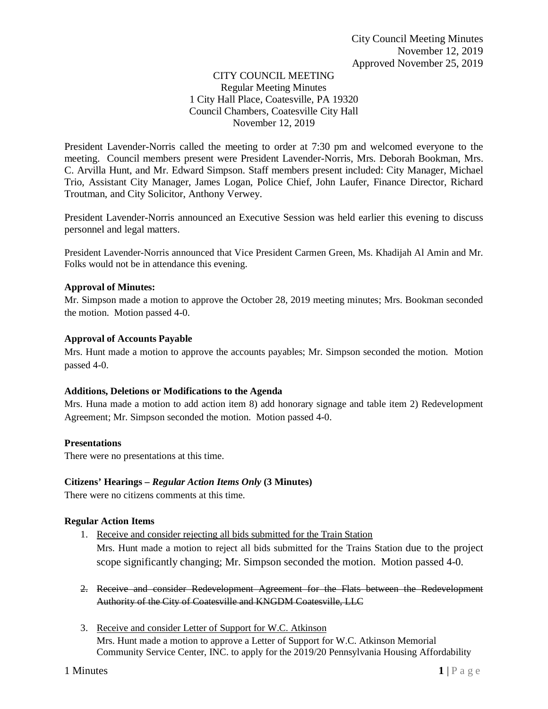# CITY COUNCIL MEETING Regular Meeting Minutes 1 City Hall Place, Coatesville, PA 19320 Council Chambers, Coatesville City Hall November 12, 2019

President Lavender-Norris called the meeting to order at 7:30 pm and welcomed everyone to the meeting. Council members present were President Lavender-Norris, Mrs. Deborah Bookman, Mrs. C. Arvilla Hunt, and Mr. Edward Simpson. Staff members present included: City Manager, Michael Trio, Assistant City Manager, James Logan, Police Chief, John Laufer, Finance Director, Richard Troutman, and City Solicitor, Anthony Verwey.

President Lavender-Norris announced an Executive Session was held earlier this evening to discuss personnel and legal matters.

President Lavender-Norris announced that Vice President Carmen Green, Ms. Khadijah Al Amin and Mr. Folks would not be in attendance this evening.

### **Approval of Minutes:**

Mr. Simpson made a motion to approve the October 28, 2019 meeting minutes; Mrs. Bookman seconded the motion. Motion passed 4-0.

### **Approval of Accounts Payable**

Mrs. Hunt made a motion to approve the accounts payables; Mr. Simpson seconded the motion. Motion passed 4-0.

### **Additions, Deletions or Modifications to the Agenda**

Mrs. Huna made a motion to add action item 8) add honorary signage and table item 2) Redevelopment Agreement; Mr. Simpson seconded the motion. Motion passed 4-0.

### **Presentations**

There were no presentations at this time.

### **Citizens' Hearings –** *Regular Action Items Only* **(3 Minutes)**

There were no citizens comments at this time.

### **Regular Action Items**

- 1. Receive and consider rejecting all bids submitted for the Train Station Mrs. Hunt made a motion to reject all bids submitted for the Trains Station due to the project scope significantly changing; Mr. Simpson seconded the motion. Motion passed 4-0.
- 2. Receive and consider Redevelopment Agreement for the Flats between the Redevelopment Authority of the City of Coatesville and KNGDM Coatesville, LLC
- 3. Receive and consider Letter of Support for W.C. Atkinson Mrs. Hunt made a motion to approve a Letter of Support for W.C. Atkinson Memorial Community Service Center, INC. to apply for the 2019/20 Pennsylvania Housing Affordability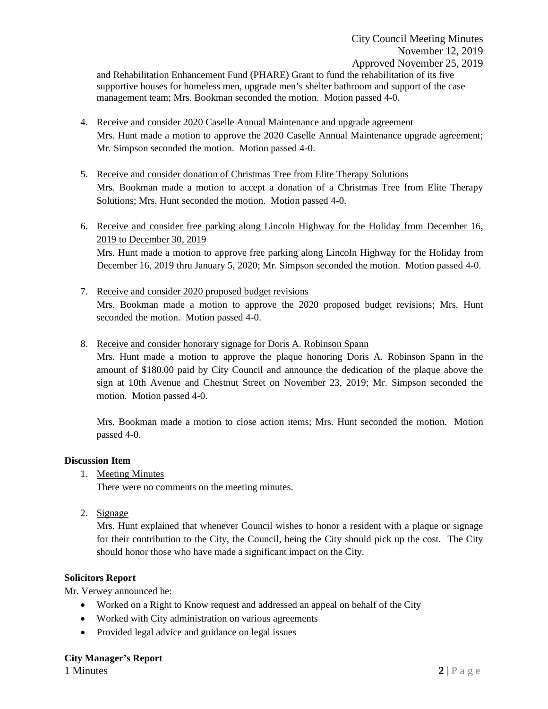and Rehabilitation Enhancement Fund (PHARE) Grant to fund the rehabilitation of its five supportive houses for homeless men, upgrade men's shelter bathroom and support of the case management team; Mrs. Bookman seconded the motion. Motion passed 4-0.

- 4. Receive and consider 2020 Caselle Annual Maintenance and upgrade agreement Mrs. Hunt made a motion to approve the 2020 Caselle Annual Maintenance upgrade agreement; Mr. Simpson seconded the motion. Motion passed 4-0.
- 5. Receive and consider donation of Christmas Tree from Elite Therapy Solutions Mrs. Bookman made a motion to accept a donation of a Christmas Tree from Elite Therapy Solutions; Mrs. Hunt seconded the motion. Motion passed 4-0.
- 6. Receive and consider free parking along Lincoln Highway for the Holiday from December 16, 2019 to December 30, 2019 Mrs. Hunt made a motion to approve free parking along Lincoln Highway for the Holiday from

December 16, 2019 thru January 5, 2020; Mr. Simpson seconded the motion. Motion passed 4-0.

7. Receive and consider 2020 proposed budget revisions Mrs. Bookman made a motion to approve the 2020 proposed budget revisions; Mrs. Hunt seconded the motion. Motion passed 4-0.

8. Receive and consider honorary signage for Doris A. Robinson Spann

Mrs. Hunt made a motion to approve the plaque honoring Doris A. Robinson Spann in the amount of \$180.00 paid by City Council and announce the dedication of the plaque above the sign at 10th Avenue and Chestnut Street on November 23, 2019; Mr. Simpson seconded the motion. Motion passed 4-0.

Mrs. Bookman made a motion to close action items; Mrs. Hunt seconded the motion. Motion passed 4-0.

### **Discussion Item**

1. Meeting Minutes

There were no comments on the meeting minutes.

2. Signage

Mrs. Hunt explained that whenever Council wishes to honor a resident with a plaque or signage for their contribution to the City, the Council, being the City should pick up the cost. The City should honor those who have made a significant impact on the City.

### **Solicitors Report**

Mr. Verwey announced he:

- Worked on a Right to Know request and addressed an appeal on behalf of the City
- Worked with City administration on various agreements
- Provided legal advice and guidance on legal issues

### **City Manager's Report**

1 Minutes **2** | P a g e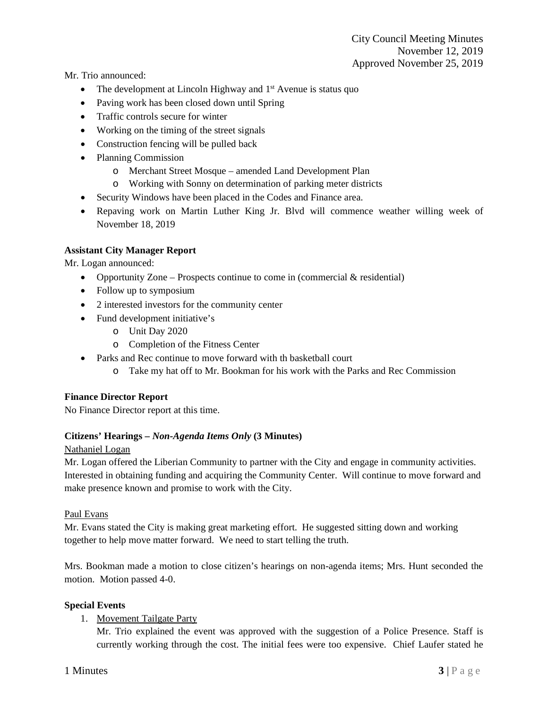Mr. Trio announced:

- The development at Lincoln Highway and 1<sup>st</sup> Avenue is status quo
- Paving work has been closed down until Spring
- Traffic controls secure for winter
- Working on the timing of the street signals
- Construction fencing will be pulled back
- Planning Commission
	- o Merchant Street Mosque amended Land Development Plan
	- o Working with Sonny on determination of parking meter districts
- Security Windows have been placed in the Codes and Finance area.
- Repaving work on Martin Luther King Jr. Blvd will commence weather willing week of November 18, 2019

## **Assistant City Manager Report**

Mr. Logan announced:

- Opportunity Zone Prospects continue to come in (commercial  $&$  residential)
- Follow up to symposium
- 2 interested investors for the community center
- Fund development initiative's
	- o Unit Day 2020
	- o Completion of the Fitness Center
- Parks and Rec continue to move forward with the basketball court
	- o Take my hat off to Mr. Bookman for his work with the Parks and Rec Commission

### **Finance Director Report**

No Finance Director report at this time.

### **Citizens' Hearings –** *Non-Agenda Items Only* **(3 Minutes)**

### Nathaniel Logan

Mr. Logan offered the Liberian Community to partner with the City and engage in community activities. Interested in obtaining funding and acquiring the Community Center. Will continue to move forward and make presence known and promise to work with the City.

### Paul Evans

Mr. Evans stated the City is making great marketing effort. He suggested sitting down and working together to help move matter forward. We need to start telling the truth.

Mrs. Bookman made a motion to close citizen's hearings on non-agenda items; Mrs. Hunt seconded the motion. Motion passed 4-0.

### **Special Events**

1. Movement Tailgate Party

Mr. Trio explained the event was approved with the suggestion of a Police Presence. Staff is currently working through the cost. The initial fees were too expensive. Chief Laufer stated he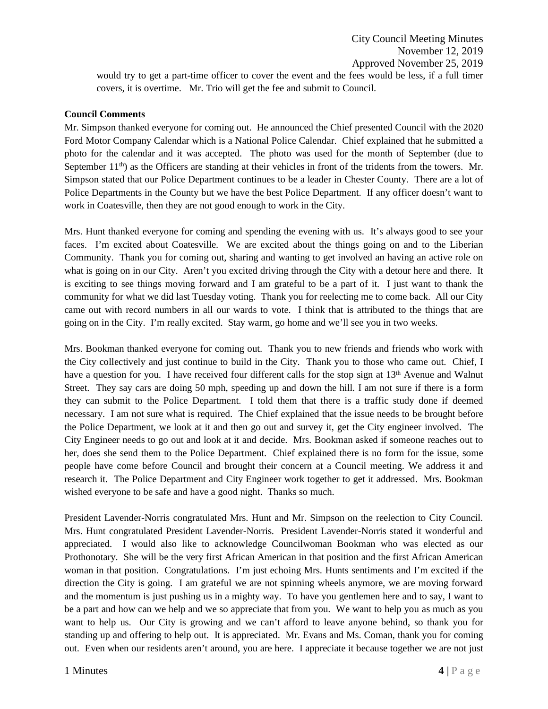City Council Meeting Minutes November 12, 2019 Approved November 25, 2019

would try to get a part-time officer to cover the event and the fees would be less, if a full timer covers, it is overtime. Mr. Trio will get the fee and submit to Council.

#### **Council Comments**

Mr. Simpson thanked everyone for coming out. He announced the Chief presented Council with the 2020 Ford Motor Company Calendar which is a National Police Calendar. Chief explained that he submitted a photo for the calendar and it was accepted. The photo was used for the month of September (due to September 11<sup>th</sup>) as the Officers are standing at their vehicles in front of the tridents from the towers. Mr. Simpson stated that our Police Department continues to be a leader in Chester County. There are a lot of Police Departments in the County but we have the best Police Department. If any officer doesn't want to work in Coatesville, then they are not good enough to work in the City.

Mrs. Hunt thanked everyone for coming and spending the evening with us. It's always good to see your faces. I'm excited about Coatesville. We are excited about the things going on and to the Liberian Community. Thank you for coming out, sharing and wanting to get involved an having an active role on what is going on in our City. Aren't you excited driving through the City with a detour here and there. It is exciting to see things moving forward and I am grateful to be a part of it. I just want to thank the community for what we did last Tuesday voting. Thank you for reelecting me to come back. All our City came out with record numbers in all our wards to vote. I think that is attributed to the things that are going on in the City. I'm really excited. Stay warm, go home and we'll see you in two weeks.

Mrs. Bookman thanked everyone for coming out. Thank you to new friends and friends who work with the City collectively and just continue to build in the City. Thank you to those who came out. Chief, I have a question for you. I have received four different calls for the stop sign at  $13<sup>th</sup>$  Avenue and Walnut Street. They say cars are doing 50 mph, speeding up and down the hill. I am not sure if there is a form they can submit to the Police Department. I told them that there is a traffic study done if deemed necessary. I am not sure what is required. The Chief explained that the issue needs to be brought before the Police Department, we look at it and then go out and survey it, get the City engineer involved. The City Engineer needs to go out and look at it and decide. Mrs. Bookman asked if someone reaches out to her, does she send them to the Police Department. Chief explained there is no form for the issue, some people have come before Council and brought their concern at a Council meeting. We address it and research it. The Police Department and City Engineer work together to get it addressed. Mrs. Bookman wished everyone to be safe and have a good night. Thanks so much.

President Lavender-Norris congratulated Mrs. Hunt and Mr. Simpson on the reelection to City Council. Mrs. Hunt congratulated President Lavender-Norris. President Lavender-Norris stated it wonderful and appreciated. I would also like to acknowledge Councilwoman Bookman who was elected as our Prothonotary. She will be the very first African American in that position and the first African American woman in that position. Congratulations. I'm just echoing Mrs. Hunts sentiments and I'm excited if the direction the City is going. I am grateful we are not spinning wheels anymore, we are moving forward and the momentum is just pushing us in a mighty way. To have you gentlemen here and to say, I want to be a part and how can we help and we so appreciate that from you. We want to help you as much as you want to help us. Our City is growing and we can't afford to leave anyone behind, so thank you for standing up and offering to help out. It is appreciated. Mr. Evans and Ms. Coman, thank you for coming out. Even when our residents aren't around, you are here. I appreciate it because together we are not just